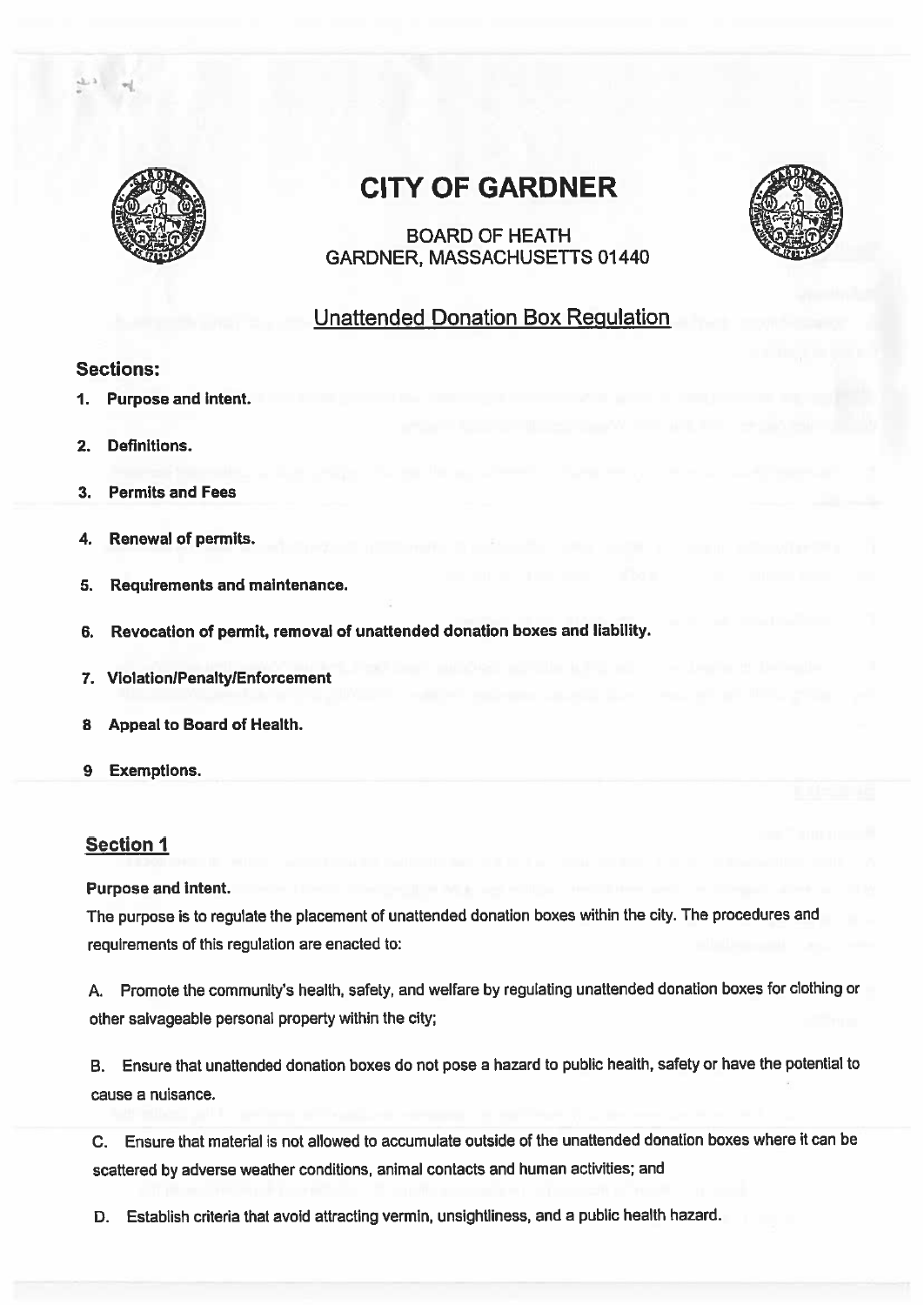

# CITY OF GARDNER

BOARD OF HEATH GARDNER, MASSACHUSETTS 01440

## Unattended Donation Box Regulation

## Sections:

- 1. Purpose and intent.
- 2. Definitions.
- 3. Permits and Fees
- 4. Renewal of permits.
- 5. Requirements and maintenance.
- 6. Revocation of permit, removal of unattended donation boxes and liability.
- 7. Violation/Penalty/Enforcement
- 8 Appeal to Board of Health.
- 9 Exemptions.

## Section 1

#### Purpose and intent.

The purpose is to regulate the <sup>p</sup>lacement of unattended donation boxes within the city. The procedures and requirements of this regulation are enacted to:

A. Promote the community's health, safety, and welfare by regulating unattended donation boxes for clothing or other salvageable personal property within the city;

B. Ensure that unattended donation boxes do not pose <sup>a</sup> hazard to public health, safety or have the potential to cause <sup>a</sup> nuisance.

C. Ensure that material is not allowed to accumulate outside of the unattended donation boxes where it can be scattered by adverse weather conditions, animal contacts and human activities; and

0. Establish criteria that avoid attracting vermin, unsightliness, and <sup>a</sup> public health hazard.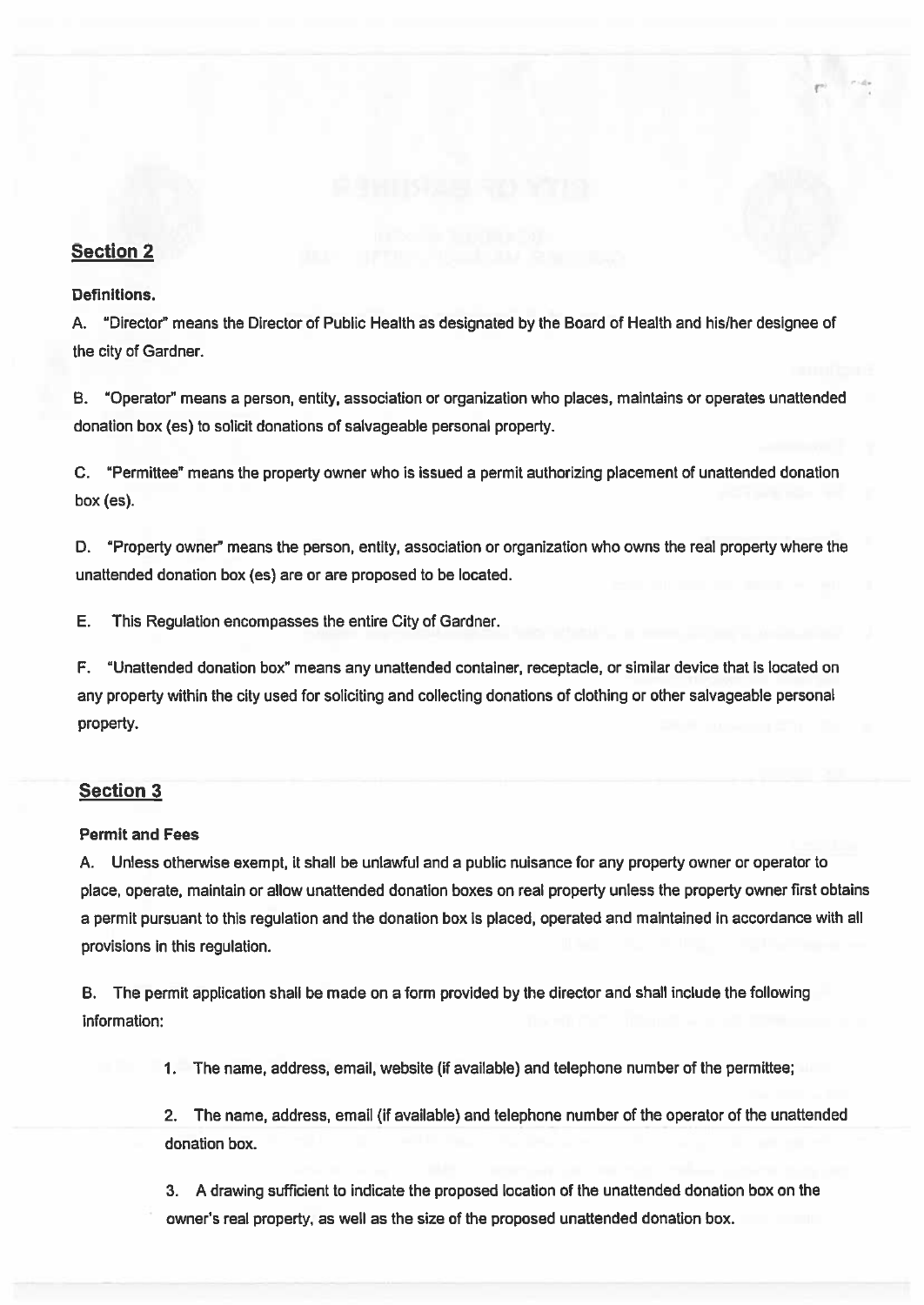## Section 2

#### Definitions.

A. "Director" means the Director of Public Health as designated by the Board of Health and his/her designee of the city of Gardner.

r

B. 'Operator" means <sup>a</sup> person, entity, association or organization who places, maintains or operates unattended donation box (es) to solicit donations of salvageable personal property.

C. "Permittee" means the property owner who is issued <sup>a</sup> permit authorizing placement of unattended donation box (es).

D. "Property owner" means the person, entity, association or organization who owns the real property where the unattended donation box (es) are or are proposed to be located.

E. This Regulation encompasses the entire City of Gardner.

F. "Unattended donation box" means any unattended container, receptacle, or similar device that is located on any property within the city used for soliciting and collecting donations of clothing or other salvageable personal property.

## Section 3

#### Permit and Fees

A. Unless otherwise exempt, it shall be unlawful and <sup>a</sup> public nuisance for any property owner or operator to place, operate, maintain or allow unattended donation boxes on real property unless the property owner first obtains <sup>a</sup> permit pursuan<sup>t</sup> to this regulation and the donation box is placed, operated and maintained in accordance with all provisions in this regulation.

B. The permit application shall be made on <sup>a</sup> form provided by the director and shall include the following information:

1. The name, address, email, website (if available) and telephone number of the permittee;

2. The name, address, email (if available) and telephone number of the operator of the unattended donation box.

3. A drawing sufficient to indicate the proposed location of the unattended donation box on the owner's real property, as well as the size of the proposed unattended donation box.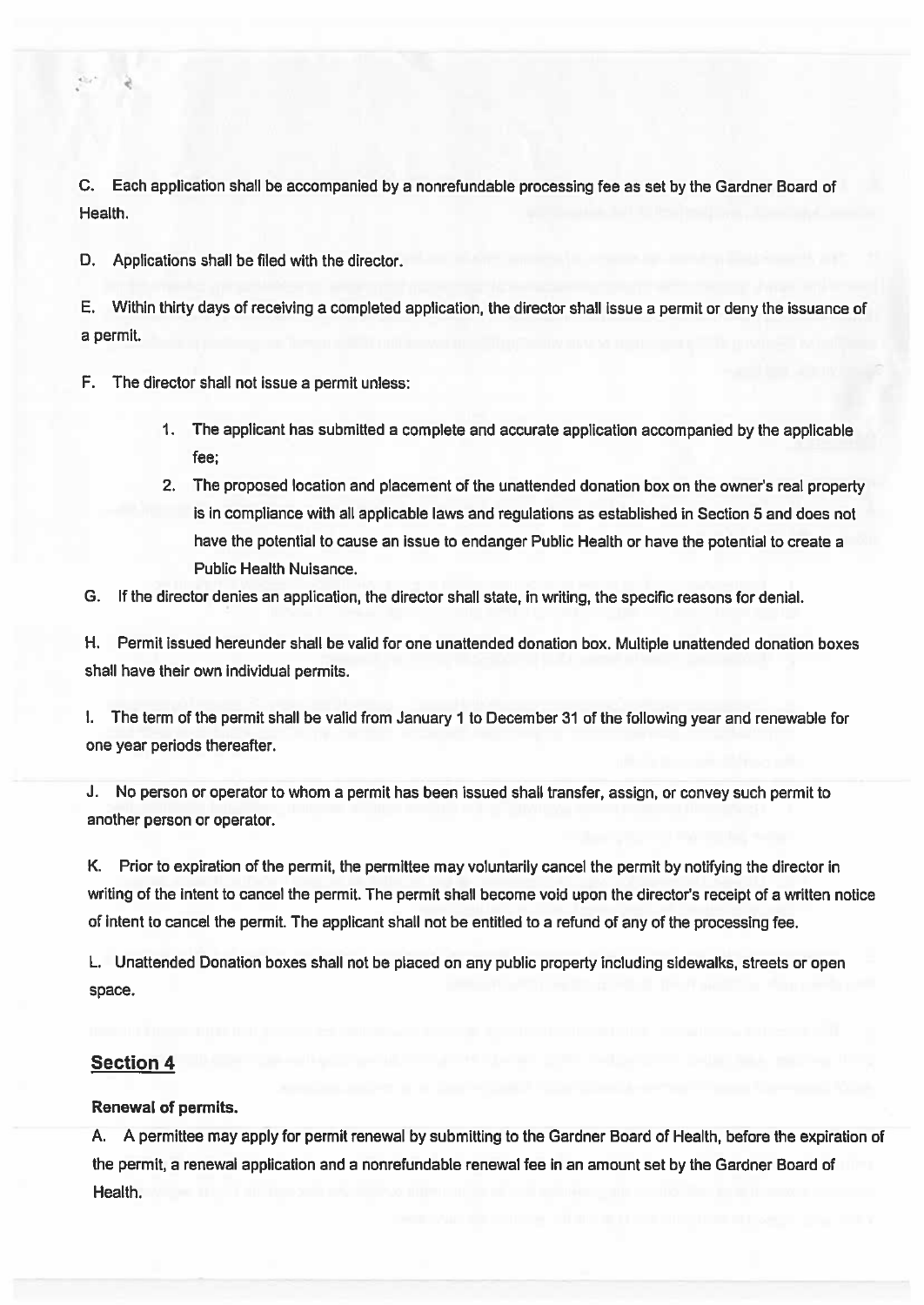C. Each application shall be accompanied by <sup>a</sup> nonrefundable processing fee as set by the Gardner Board of Health.

D. Applications shall be filed with the director.

E. Within thirty days of receiving <sup>a</sup> completed application, the director shall issue <sup>a</sup> permit or deny the issuance of <sup>a</sup> permit.

F. The director shall not issue <sup>a</sup> permit unless:

- 1. The applicant has submitted <sup>a</sup> complete and accurate application accompanied by the applicable fee;
- 2. The proposed location and placement of the unattended donation box on the owner's real property is in compliance with all applicable laws and regulations as established in Section 5 and does not have the potential to cause an issue to endanger Public Health or have the potential to create <sup>a</sup> Public Health Nuisance.
- G. If the director denies an application, the director shall state, in writing, the specific reasons for denial.

H. Permit issued hereunder shall be valid for one unattended donation box. Multiple unattended donation boxes shall have their own individual permits.

I. The term of the permit shall be valid from January 1 to December 31 of the following year and renewable for one year periods thereafter.

J. No person or operator to whom <sup>a</sup> permit has been issued shall transfer, assign, or convey such permit to another person or operator.

K. Prior to expiration of the permit, the permittee may voluntarily cancel the permit by notifying the director in writing of the intent to cancel the permit. The permit shall become void upon the director's receipt of <sup>a</sup> written notice of intent to cancel the permit. The applicant shall not be entitled to <sup>a</sup> refund of any of the processing fee.

L. Unattended Donation boxes shall not be placed on any public property including sidewalks, streets or open space.

## Section 4

#### Renewal of permits.

A. A permittee may apply for permit renewal by submitting to the Gardner Board of Health, before the expiration of the permit, <sup>a</sup> renewal application and <sup>a</sup> nonrefundable renewal fee in an amount set by the Gardner Board of Health.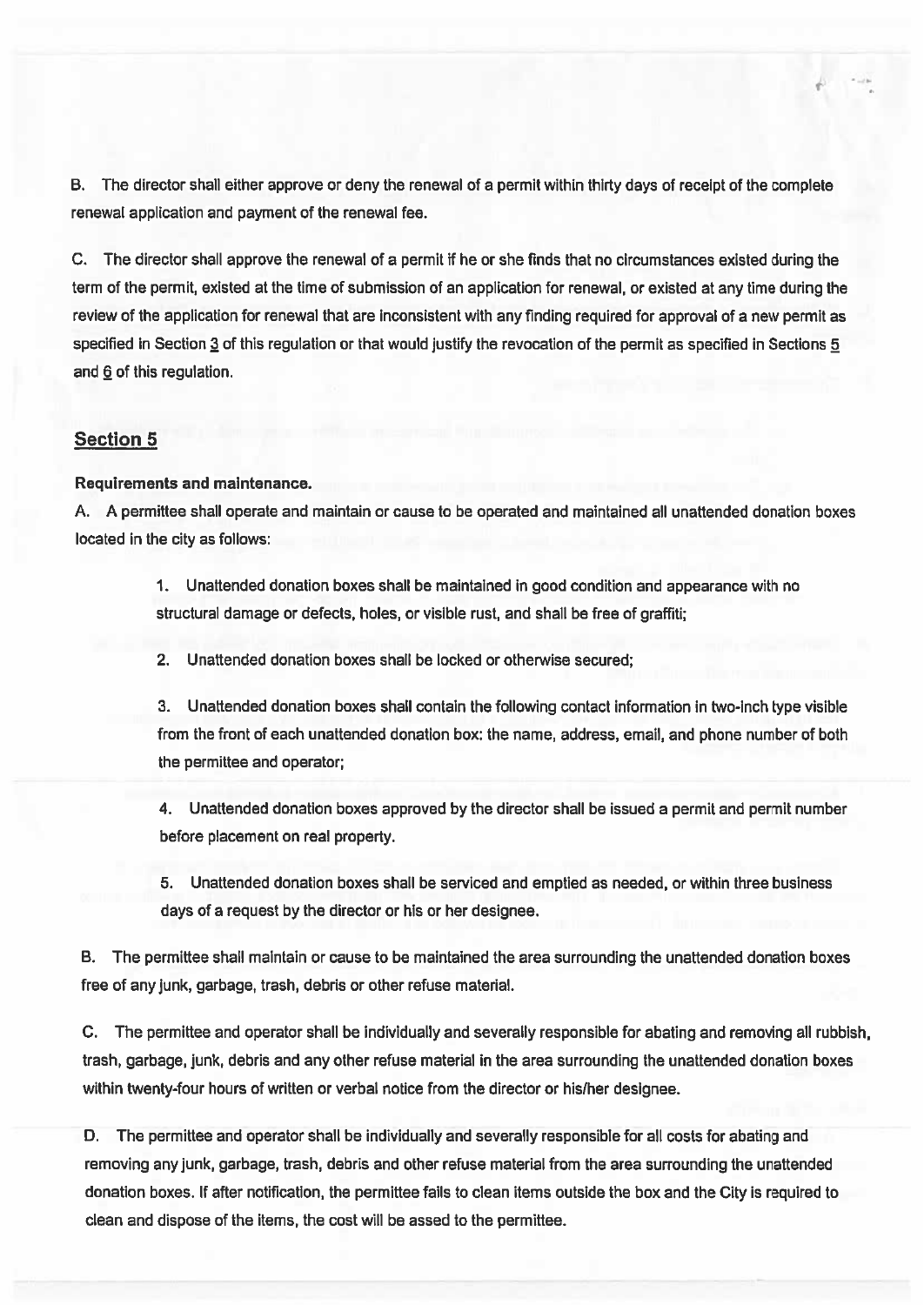B. The director shall either approve or deny the renewal of <sup>a</sup> permit within thirty days of receipt of the complete renewal application and paymen<sup>t</sup> of the renewal fee.

C. The director shall approve the renewal of <sup>a</sup> permit if he or she finds that no circumstances existed during the term of the permit, existed at the time of submission of an application for renewal, or existed at any time during the review of the application for renewal that are inconsistent with any finding required for approval of <sup>a</sup> new permit as specified in Section 3 of this regulation or that would justify the revocation of the permit as specified in Sections 5 and 6 of this regulation.

## Section 5

#### Requirements and maintenance.

A. A permittee shall operate and maintain or cause to be operated and maintained all unattended donation boxes located in the city as follows:

> 1. Unattended donation boxes shall be maintained in good condition and appearance with no structural damage or defects, holes, or visible rust, and shall be free of graffiti;

2. Unattended donation boxes shall be locked or otherwise secured;

3. Unattended donation boxes shall contain the following contact information in two-inch type visible from the front of each unattended donation box: the name, address, email, and phone number of both the permittee and operator:

4. Unattended donation boxes approved by the director shall be issued <sup>a</sup> permit and permit number before placement on real property.

5. Unattended donation boxes shall be serviced and emptied as needed, or within three business days of <sup>a</sup> reques<sup>t</sup> by the director or his or her designee.

B. The permittee shall maintain or cause to be maintained the area surrounding the unattended donation boxes free of any junk, garbage, trash, debris or other refuse material.

C. The permittee and operator shall be individually and severally responsible for abating and removing all rubbish, trash, garbage, junk, debris and any other refuse material in the area surrounding the unattended donation boxes within twenty-four hours of written or verbal notice from the director or hislher designee.

D. The permittee and operator shall be individually and severally responsible for all costs for abating and removing any junk, garbage, trash, debris and other refuse material from the area surrounding the unattended donation boxes. If after notification, the permittee fails to clean items outside the box and the City is required to clean and dispose of the items, the cost will be assed to the permittee.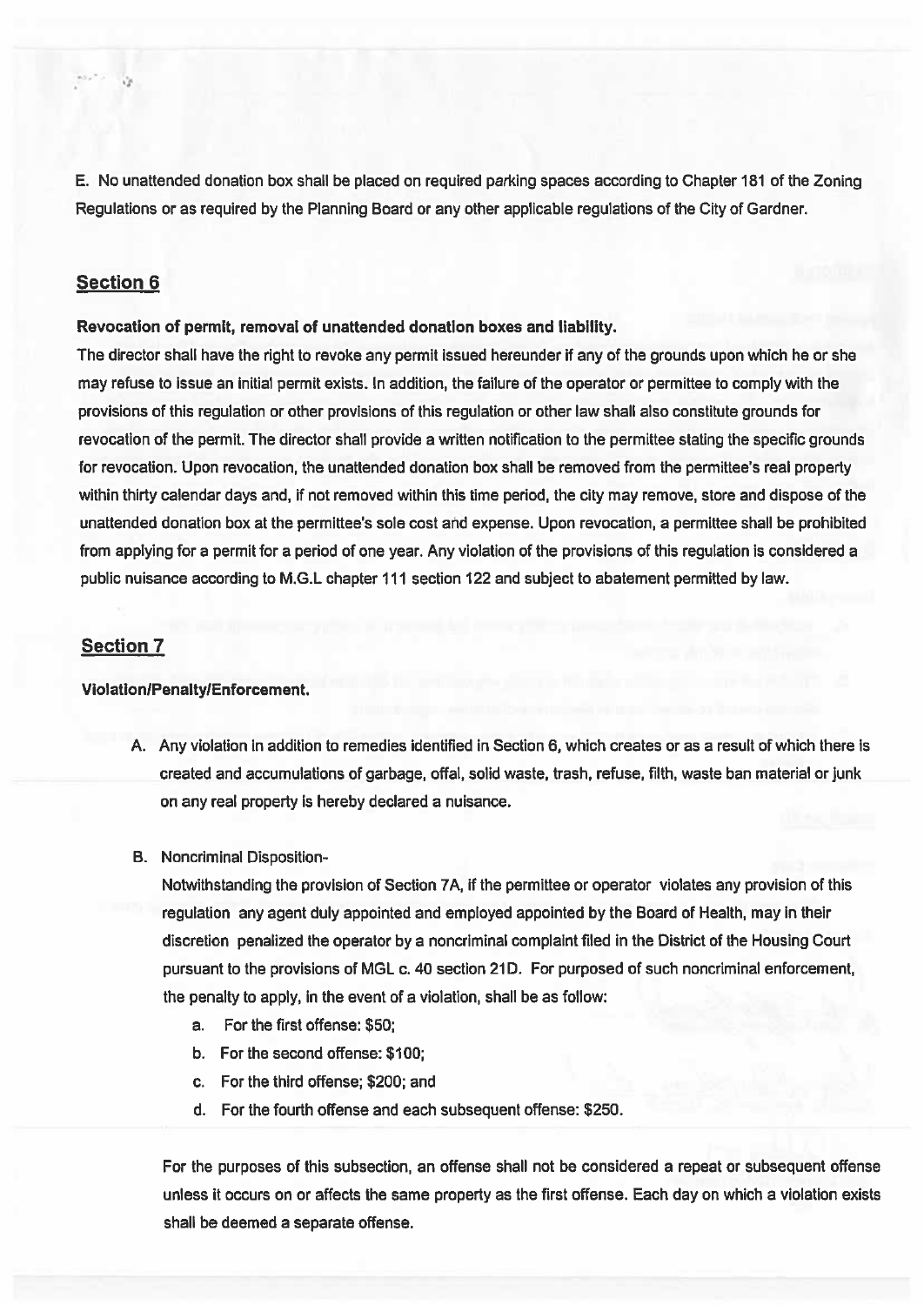E. No unattended donation box shall be placed on required parking spaces according to Chapter 181 of the Zoning Regulations or as required by the Planning Board or any other applicable regulations of the City of Gardner.

## Section 6

#### Revocation of permit, removal of unattended donation boxes and liability.

The director shall have the right to revoke any permit issued hereunder if any of the grounds upon which he or she may refuse to issue an initial permit exists. In addition, the failure of the operator or permittee to comply with the provisions of this regulation or other provisions of this regulation or other law shall also constitute grounds for revocation of the permit. The director shall provide <sup>a</sup> written notification to the permittee stating the specific grounds for revocation. Upon revocation, the unattended donation box shall be removed from the permittee's real property within thirty calendar days and, if not removed within this time period, the city may remove, store and dispose of the unattended donation box at the permittee's sole cost and expense. Upon revocation, <sup>a</sup> permittee shall be prohibited from applying for <sup>a</sup> permit for <sup>a</sup> period of one year. Any violation of the provisions of this regulation is considered <sup>a</sup> public nuisance according to M.G.L chapter 111 section 122 and subject to abatement permitted by law.

#### Section 7

#### Violation/Penalty/Enforcement.

- A. Any violation in addition to remedies identified in Section 6, which creates or as <sup>a</sup> result of which there is created and accumulations of garbage, offal, solid waste, trash, refuse, filth, waste ban material or junk on any real property is hereby declared <sup>a</sup> nuisance.
- B. Noncriminal Disposition-

Notwithstanding the provision of Section 7A, if the permittee or operator violates any provision of this regulation any agen<sup>t</sup> duly appointed and employed appointed by the Board of Health, may in their discretion penalized the operator by <sup>a</sup> noncriminal complaint filed in the District of the Housing Court pursuant to the provisions of MGL c. 40 section 21D. For purposed of such noncriminal enforcement, the penalty to apply, in the event of <sup>a</sup> violation, shall be as follow:

- a. For the first offense: \$50;
- b. For the second offense: \$100;
- c. For the third offense; \$200; and
- d. For the fourth offense and each subsequent offense: \$250.

For the purposes of this subsection, an offense shall not be considered <sup>a</sup> repea<sup>t</sup> or subsequent offense unless it occurs on or affects the same property as the first offense. Each day on which <sup>a</sup> violation exists shall be deemed <sup>a</sup> separate offense.